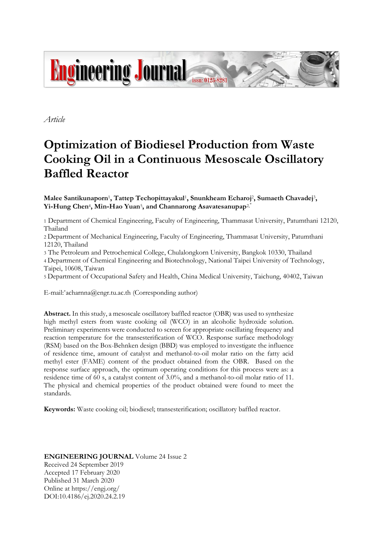

*Article*

# **Optimization of Biodiesel Production from Waste Cooking Oil in a Continuous Mesoscale Oscillatory Baffled Reactor**

Malee Santikunaporn<sup>1</sup>, Tattep Techopittayakul<sup>1</sup>, Snunkheam Echaroj<sup>2</sup>, Sumaeth Chavadej<sup>3</sup>, **Yi-Hung Chen**<sup>4</sup> **, Min-Hao Yuan**<sup>5</sup> **, and Channarong Asavatesanupap**2, \*

1 Department of Chemical Engineering, Faculty of Engineering, Thammasat University, Patumthani 12120, Thailand

2 Department of Mechanical Engineering, Faculty of Engineering, Thammasat University, Patumthani 12120, Thailand

3 The Petroleum and Petrochemical College, Chulalongkorn University, Bangkok 10330, Thailand 4 Department of Chemical Engineering and Biotechnology, National Taipei University of Technology, Taipei, 10608, Taiwan

5 Department of Occupational Safety and Health, China Medical University, Taichung, 40402, Taiwan

E-mail: \*acharnna@engr.tu.ac.th (Corresponding author)

**Abstract.** In this study, a mesoscale oscillatory baffled reactor (OBR) was used to synthesize high methyl esters from waste cooking oil (WCO) in an alcoholic hydroxide solution. Preliminary experiments were conducted to screen for appropriate oscillating frequency and reaction temperature for the transesterification of WCO. Response surface methodology (RSM) based on the Box-Behnken design (BBD) was employed to investigate the influence of residence time, amount of catalyst and methanol-to-oil molar ratio on the fatty acid methyl ester (FAME) content of the product obtained from the OBR. Based on the response surface approach, the optimum operating conditions for this process were as: a residence time of 60 s, a catalyst content of 3.0%, and a methanol-to-oil molar ratio of 11. The physical and chemical properties of the product obtained were found to meet the standards.

**Keywords:** Waste cooking oil; biodiesel; transesterification; oscillatory baffled reactor.

## **ENGINEERING JOURNAL** Volume 24 Issue 2 Received 24 September 2019 Accepted 17 February 2020 Published 31 March 2020 Online at https://engj.org/ DOI:10.4186/ej.2020.24.2.19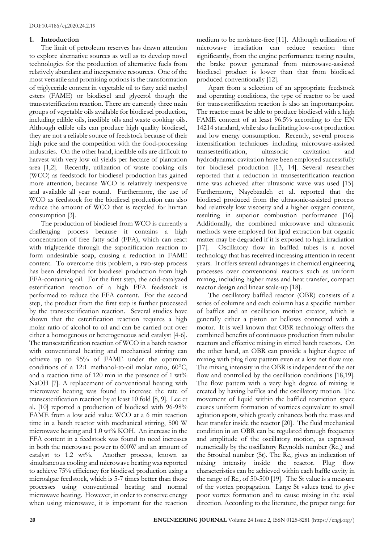## **1. Introduction**

The limit of petroleum reserves has drawn attention to explore alternative sources as well as to develop novel technologies for the production of alternative fuels from relatively abundant and inexpensive resources. One of the most versatile and promising options is the transformation of triglyceride content in vegetable oil to fatty acid methyl esters (FAME) or biodiesel and glycerol though the transesterification reaction. There are currently three main groups of vegetable oils available for biodiesel production, including edible oils, inedible oils and waste cooking oils. Although edible oils can produce high quality biodiesel, they are not a reliable source of feedstock because of their high price and the competition with the food-processing industries. On the other hand, inedible oils are difficult to harvest with very low oil yields per hectare of plantation area [1,2]. Recently, utilization of waste cooking oils (WCO) as feedstock for biodiesel production has gained more attention, because WCO is relatively inexpensive and available all year round. Furthermore, the use of WCO as feedstock for the biodiesel production can also reduce the amount of WCO that is recycled for human consumption [3].

The production of biodiesel from WCO is currently a challenging process because it contains a high concentration of free fatty acid (FFA), which can react with triglyceride through the saponification reaction to form undesirable soap, causing a reduction in FAME content. To overcome this problem, a two-step process has been developed for biodiesel production from high FFA-containing oil. For the first step, the acid-catalyzed esterification reaction of a high FFA feedstock is performed to reduce the FFA content. For the second step, the product from the first step is further processed by the transesterification reaction. Several studies have shown that the esterification reaction requires a high molar ratio of alcohol to oil and can be carried out over either a homogenous or heterogeneous acid catalyst [4-6]. The transesterification reaction of WCO in a batch reactor with conventional heating and mechanical stirring can achieve up to 95% of FAME under the optimum conditions of a 12:1 methanol-to-oil molar ratio, 60°C, and a reaction time of 120 min in the presence of 1 wt% NaOH [7]. A replacement of conventional heating with microwave heating was found to increase the rate of transesterification reaction by at least 10 fold [8, 9]. Lee et al. [10] reported a production of biodiesel with 96-98% FAME from a low acid value WCO at a 6 min reaction time in a batch reactor with mechanical stirring, 500 W microwave heating and 1.0 wt% KOH. An increase in the FFA content in a feedstock was found to need increases in both the microwave power to 600W and an amount of catalyst to 1.2 wt%. Another process, known as simultaneous cooling and microwave heating was reported to achieve 75% efficiency for biodiesel production using a microalgae feedstock, which is 5-7 times better than those processes using conventional heating and normal microwave heating. However, in order to conserve energy when using microwave, it is important for the reaction

medium to be moisture-free [11]. Although utilization of microwave irradiation can reduce reaction time significantly, from the engine performance testing results, the brake power generated from microwave-assisted biodiesel product is lower than that from biodiesel produced conventionally [12].

Apart from a selection of an appropriate feedstock and operating conditions, the type of reactor to be used for transesterification reaction is also an importantpoint. The reactor must be able to produce biodiesel with a high FAME content of at least 96.5% according to the EN 14214 standard, while also facilitating low-cost production and low energy consumption. Recently, several process intensification techniques including microwave-assisted transesterification, ultrasonic cavitation and hydrodynamic cavitation have been employed successfully for biodiesel production [13, 14]. Several researches reported that a reduction in transesterification reaction time was achieved after ultrasonic wave was used [15]. Furthermore, Nayebzadeh et al. reported that the biodiesel produced from the ultrasonic-assisted process had relatively low viscosity and a higher oxygen content, resulting in superior combustion performance [16]. Additionally, the combined microwave and ultrasonic methods were employed for lipid extraction but organic matter may be degraded if it is exposed to high irradiation [17]. Oscillatory flow in baffled tubes is a novel technology that has received increasing attention in recent years. It offers several advantages in chemical engineering processes over conventional reactors such as uniform mixing, including higher mass and heat transfer, compact reactor design and linear scale-up [18].

The oscillatory baffled reactor (OBR) consists of a series of columns and each column has a specific number of baffles and an oscillation motion creator, which is generally either a piston or bellows connected with a motor. It is well known that OBR technology offers the combined benefits of continuous production from tubular reactors and effective mixing in stirred batch reactors. On the other hand, an OBR can provide a higher degree of mixing with plug flow pattern even at a low net flow rate. The mixing intensity in the OBR is independent of the net flow and controlled by the oscillation conditions [18,19]. The flow pattern with a very high degree of mixing is created by having baffles and the oscillatory motion. The movement of liquid within the baffled restriction space causes uniform formation of vortices equivalent to small agitation spots, which greatly enhances both the mass and heat transfer inside the reactor [20]. The fluid mechanical condition in an OBR can be regulated through frequency and amplitude of the oscillatory motion, as expressed numerically by the oscillatory Reynolds number (Re<sub>o</sub>) and the Strouhal number (St). The  $Re_0$  gives an indication of mixing intensity inside the reactor. Plug flow characteristics can be achieved within each baffle cavity in the range of  $\text{Re}_0$  of 50-500 [19]. The St value is a measure of the vortex propagation. Large St values tend to give poor vortex formation and to cause mixing in the axial direction. According to the literature, the proper range for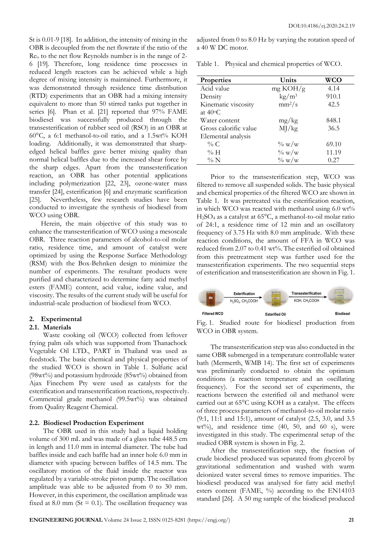St is 0.01-9 [18]. In addition, the intensity of mixing in the OBR is decoupled from the net flowrate if the ratio of the Re<sup>o</sup> to the net flow Reynolds number is in the range of 2- 6 [19]. Therefore, long residence time processes in reduced length reactors can be achieved while a high degree of mixing intensity is maintained. Furthermore, it was demonstrated through residence time distribution (RTD) experiments that an OBR had a mixing intensity equivalent to more than 50 stirred tanks put together in series [6]. Phan et al. [21] reported that 97% FAME biodiesel was successfully produced through the transesterification of rubber seed oil (RSO) in an OBR at 60°C, a 6:1 methanol-to-oil ratio, and a 1.5wt% KOH loading. Additionally, it was demonstrated that sharpedged helical baffles gave better mixing quality than normal helical baffles due to the increased shear force by the sharp edges. Apart from the transesterification reaction, an OBR has other potential applications including polymerization [22, 23], ozone-water mass transfer [24], esterification [6] and enzymatic scarification [25]. Nevertheless, few research studies have been conducted to investigate the synthesis of biodiesel from WCO using OBR.

Herein, the main objective of this study was to enhance the transesterification of WCO using a mesoscale OBR. Three reaction parameters of alcohol-to-oil molar ratio, residence time, and amount of catalyst were optimized by using the Response Surface Methodology (RSM) with the Box-Behnken design to minimize the number of experiments. The resultant products were purified and characterized to determine fatty acid methyl esters (FAME) content, acid value, iodine value, and viscosity. The results of the current study will be useful for industrial-scale production of biodiesel from WCO.

## **2. Experimental**

### **2.1. Materials**

Waste cooking oil (WCO) collected from leftover frying palm oils which was supported from Thanachock Vegetable Oil LTD., PART in Thailand was used as feedstock. The basic chemical and physical properties of the studied WCO is shown in Table 1. Sulfuric acid (98wt%) and potassium hydroxide (85wt%) obtained from Ajax Finechem Pty were used as catalysts for the esterification and transesterification reactions, respectively. Commercial grade methanol (99.5wt%) was obtained from Quality Reagent Chemical.

### **2.2. Biodiesel Production Experiment**

The OBR used in this study had a liquid holding volume of 300 mL and was made of a glass tube 448.5 cm in length and 11.0 mm in internal diameter. The tube had baffles inside and each baffle had an inner hole 6.0 mm in diameter with spacing between baffles of 14.5 mm. The oscillatory motion of the fluid inside the reactor was regulated by a variable-stroke piston pump. The oscillation amplitude was able to be adjusted from 0 to 30 mm. However, in this experiment, the oscillation amplitude was fixed at 8.0 mm ( $St = 0.1$ ). The oscillation frequency was

adjusted from 0 to 8.0 Hz by varying the rotation speed of a 40 W DC motor.

|  | Table 1. Physical and chemical properties of WCO. |  |  |  |
|--|---------------------------------------------------|--|--|--|
|--|---------------------------------------------------|--|--|--|

| <b>Properties</b>     | Units                  | WCO   |
|-----------------------|------------------------|-------|
| Acid value            | mg KOH/g               | 4.14  |
| Density               | $\text{kg}/\text{m}^3$ | 910.1 |
| Kinematic viscosity   | $mm^2/s$               | 42.5  |
| at 40°C               |                        |       |
| Water content         | mg/kg                  | 848.1 |
| Gross calorific value | MJ/kg                  | 36.5  |
| Elemental analysis    |                        |       |
| % C                   | $\%$ w/w               | 69.10 |
| % H                   | $\%$ w/w               | 11.19 |
| $\%$ N                | $\%$ w/w               | 0.27  |

Prior to the transesterification step, WCO was filtered to remove all suspended solids. The basic physical and chemical properties of the filtered WCO are shown in Table 1. It was pretreated via the esterification reaction, in which WCO was reacted with methanol using 6.0 wt% H2SO<sup>4</sup> as a catalyst at 65°C, a methanol-to-oil molar ratio of 24:1, a residence time of 12 min and an oscillatory frequency of 3.75 Hz with 8.0 mm amplitude. With these reaction conditions, the amount of FFA in WCO was reduced from 2.07 to 0.41 wt%. The esterified oil obtained from this pretreatment step was further used for the transesterification experiments. The two sequential steps of esterification and transesterification are shown in Fig. 1.



Fig. 1. Studied route for biodiesel production from WCO in OBR system.

The transesterification step was also conducted in the same OBR submerged in a temperature controllable water bath (Mermerth, WMB 14). The first set of experiments was preliminarily conducted to obtain the optimum conditions (a reaction temperature and an oscillating frequency). For the second set of experiments, the reactions between the esterified oil and methanol were carried out at 65°C using KOH as a catalyst. The effects of three process parameters of methanol-to-oil molar ratio (9:1, 11:1 and 15:1), amount of catalyst (2.5, 3.0, and 3.5  $wt\%$ ), and residence time (40, 50, and 60 s), were investigated in this study. The experimental setup of the studied OBR system is shown in Fig. 2.

After the transesterification step, the fraction of crude biodiesel produced was separated from glycerol by gravitational sedimentation and washed with warm deionized water several times to remove impurities. The biodiesel produced was analysed for fatty acid methyl esters content (FAME, %) according to the EN14103 standard [26]. A 50 mg sample of the biodiesel produced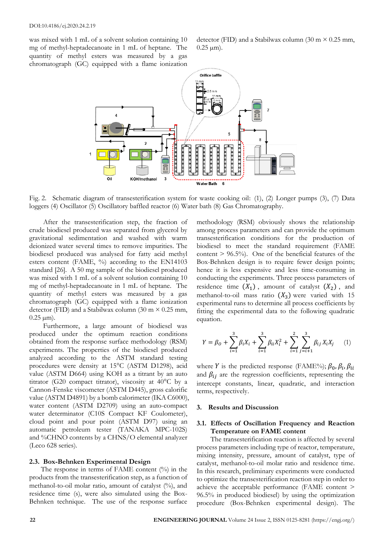was mixed with 1 mL of a solvent solution containing 10 mg of methyl-heptadecanoate in 1 mL of heptane. The quantity of methyl esters was measured by a gas chromatograph (GC) equipped with a flame ionization

detector (FID) and a Stabilwax column (30 m  $\times$  0.25 mm,  $0.25 \mu m$ ).



Fig. 2. Schematic diagram of transesterification system for waste cooking oil: (1), (2) Longer pumps (3), (7) Data loggers (4) Oscillator (5) Oscillatory baffled reactor (6) Water bath (8) Gas Chromatography.

After the transesterification step, the fraction of crude biodiesel produced was separated from glycerol by gravitational sedimentation and washed with warm deionized water several times to remove impurities. The biodiesel produced was analysed for fatty acid methyl esters content (FAME, %) according to the EN14103 standard [26]. A 50 mg sample of the biodiesel produced was mixed with 1 mL of a solvent solution containing 10 mg of methyl-heptadecanoate in 1 mL of heptane. The quantity of methyl esters was measured by a gas chromatograph (GC) equipped with a flame ionization detector (FID) and a Stabilwax column (30 m  $\times$  0.25 mm,  $0.25 \,\mu m$ ).

Furthermore, a large amount of biodiesel was produced under the optimum reaction conditions obtained from the response surface methodology (RSM) experiments. The properties of the biodiesel produced analyzed according to the ASTM standard testing procedures were density at 15°C (ASTM D1298), acid value (ASTM D664) using KOH as a titrant by an auto titrator (G20 compact titrator), viscosity at 40°C by a Cannon-Fenske viscometer (ASTM D445), gross calorific value (ASTM D4891) by a bomb calorimeter (IKA C6000), water content (ASTM D2709) using an auto-compact water determinator (C10S Compact KF Coulometer), cloud point and pour point (ASTM D97) using an automatic petroleum tester (TANAKA MPC-102S) and %CHNO contents by a CHNS/O elemental analyzer (Leco 628 series).

## **2.3. Box-Behnken Experimental Design**

The response in terms of FAME content  $(\%)$  in the products from the transesterification step, as a function of methanol-to-oil molar ratio, amount of catalyst (%), and residence time (s), were also simulated using the Box-Behnken technique. The use of the response surface methodology (RSM) obviously shows the relationship among process parameters and can provide the optimum transesterification conditions for the production of biodiesel to meet the standard requirement (FAME content  $> 96.5\%$ ). One of the beneficial features of the Box-Behnken design is to require fewer design points; hence it is less expensive and less time-consuming in conducting the experiments. Three process parameters of residence time  $(X_1)$ , amount of catalyst  $(X_2)$ , and methanol-to-oil mass ratio  $(X_3)$  were varied with 15 experimental runs to determine all process coefficients by fitting the experimental data to the following quadratic equation.

$$
Y = \beta_0 + \sum_{i=1}^3 \beta_i X_i + \sum_{i=1}^3 \beta_{ii} X_i^2 + \sum_{i=1}^2 \sum_{j=i+1}^3 \beta_{ij} X_i X_j \tag{1}
$$

where *Y* is the predicted response (FAME%);  $\beta_0$ ,  $\beta_i$ ,  $\beta_{ii}$ and  $\beta_{ij}$  are the regression coefficients, representing the intercept constants, linear, quadratic, and interaction terms, respectively.

#### **3. Results and Discussion**

#### **3.1. Effects of Oscillation Frequency and Reaction Temperature on FAME content**

The transesterification reaction is affected by several process parameters including type of reactor, temperature, mixing intensity, pressure, amount of catalyst, type of catalyst, methanol-to-oil molar ratio and residence time. In this research, preliminary experiments were conducted to optimize the transesterification reaction step in order to achieve the acceptable performance (FAME content > 96.5% in produced biodiesel) by using the optimization procedure (Box-Behnken experimental design). The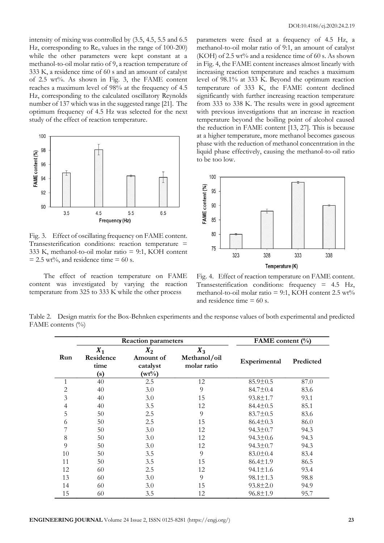intensity of mixing was controlled by (3.5, 4.5, 5.5 and 6.5 Hz, corresponding to  $\text{Re}_0$  values in the range of 100-200) while the other parameters were kept constant at a methanol-to-oil molar ratio of 9, a reaction temperature of 333 K, a residence time of 60 s and an amount of catalyst of 2.5 wt%. As shown in Fig. 3, the FAME content reaches a maximum level of 98% at the frequency of 4.5 Hz, corresponding to the calculated oscillatory Reynolds number of 137 which was in the suggested range [21]. The optimum frequency of 4.5 Hz was selected for the next study of the effect of reaction temperature.



Fig. 3. Effect of oscillating frequency on FAME content. Transesterification conditions: reaction temperature = 333 K, methanol-to-oil molar ratio = 9:1, KOH content  $= 2.5$  wt%, and residence time  $= 60$  s.

The effect of reaction temperature on FAME content was investigated by varying the reaction temperature from 325 to 333 K while the other process

parameters were fixed at a frequency of 4.5 Hz, a methanol-to-oil molar ratio of 9:1, an amount of catalyst (KOH) of 2.5 wt% and a residence time of 60 s. As shown in Fig. 4, the FAME content increases almost linearly with increasing reaction temperature and reaches a maximum level of 98.1% at 333 K. Beyond the optimum reaction temperature of 333 K, the FAME content declined significantly with further increasing reaction temperature from 333 to 338 K. The results were in good agreement with previous investigations that an increase in reaction temperature beyond the boiling point of alcohol caused the reduction in FAME content [13, 27]. This is because at a higher temperature, more methanol becomes gaseous phase with the reduction of methanol concentration in the liquid phase effectively, causing the methanol-to-oil ratio to be too low.



Fig. 4. Effect of reaction temperature on FAME content. Transesterification conditions: frequency = 4.5 Hz, methanol-to-oil molar ratio = 9:1, KOH content  $2.5 \text{ wt\%}$ and residence time  $= 60$  s.

Table 2. Design matrix for the Box-Behnken experiments and the response values of both experimental and predicted FAME contents (%)

|     |                                   | <b>Reaction parameters</b>                 | FAME content $(\% )$                 |                |           |
|-----|-----------------------------------|--------------------------------------------|--------------------------------------|----------------|-----------|
| Run | $X_1$<br>Residence<br>time<br>(s) | $X_2$<br>Amount of<br>catalyst<br>$(wt\%)$ | $X_3$<br>Methanol/oil<br>molar ratio | Experimental   | Predicted |
| 1   | 40                                | 2.5                                        | 12                                   | $85.9 \pm 0.5$ | 87.0      |
| 2   | 40                                | 3.0                                        | 9                                    | $84.7 \pm 0.4$ | 83.6      |
| 3   | 40                                | 3.0                                        | 15                                   | $93.8 \pm 1.7$ | 93.1      |
| 4   | 40                                | 3.5                                        | 12                                   | $84.4 \pm 0.5$ | 85.1      |
| 5   | 50                                | 2.5                                        | 9                                    | $83.7 \pm 0.5$ | 83.6      |
| 6   | 50                                | 2.5                                        | 15                                   | $86.4 \pm 0.3$ | 86.0      |
| 7   | 50                                | 3.0                                        | 12                                   | $94.3 \pm 0.7$ | 94.3      |
| 8   | 50                                | 3.0                                        | 12                                   | $94.3 \pm 0.6$ | 94.3      |
| 9   | 50                                | 3.0                                        | 12                                   | $94.3 \pm 0.7$ | 94.3      |
| 10  | 50                                | 3.5                                        | 9                                    | $83.0 \pm 0.4$ | 83.4      |
| 11  | 50                                | 3.5                                        | 15                                   | $86.4 \pm 1.9$ | 86.5      |
| 12  | 60                                | 2.5                                        | 12                                   | $94.1 \pm 1.6$ | 93.4      |
| 13  | 60                                | 3.0                                        | 9                                    | $98.1 \pm 1.3$ | 98.8      |
| 14  | 60                                | 3.0                                        | 15                                   | $93.8 \pm 2.0$ | 94.9      |
| 15  | 60                                | 3.5                                        | 12                                   | $96.8 \pm 1.9$ | 95.7      |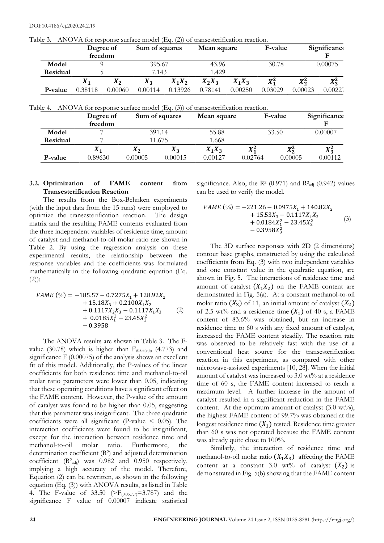|          | Degree of<br>freedom |         | Sum of squares                                                                                |          | Mean square |          | <b>F-value</b> |         | Significanco<br>F |  |
|----------|----------------------|---------|-----------------------------------------------------------------------------------------------|----------|-------------|----------|----------------|---------|-------------------|--|
| Model    | 9                    |         | 395.67                                                                                        |          | 43.96       |          | 30.78          |         | 0.00075           |  |
| Residual | 5.                   |         | 7.143                                                                                         |          | 1.429       |          |                |         |                   |  |
|          | $X_1$                | $X_2$   | $X_3$                                                                                         | $X_1X_2$ | $X_2X_3$    | $X_1X_3$ | $X_1^2$        | $X_2^2$ | $X_3^2$           |  |
| P-value  | 0.38118              | 0.00060 | 0.00114                                                                                       | 0.13926  | 0.78141     | 0.00250  | 0.03029        | 0.00023 | 0.00227           |  |
|          |                      |         |                                                                                               |          |             |          |                |         |                   |  |
| Table 4. | Degree of            |         | ANOVA for response surface model (Eq. (3)) of transesterification reaction.<br>Sum of squares |          | Mean square |          | F-value        |         |                   |  |
|          | freedom              |         |                                                                                               |          |             |          |                |         | Significance<br>F |  |
| Model    |                      |         | 391.14                                                                                        |          | 55.88       |          | 33.50          |         | 0.00007           |  |
| Residual |                      |         | 11.675                                                                                        |          | 1.668       |          |                |         |                   |  |
|          | $X_1$                |         | $X_2$                                                                                         | $X_3$    | $X_1X_3$    | $X_1^2$  |                | $X_2^2$ | $X_3^2$           |  |

Table 3. ANOVA for response surface model (Eq. (2)) of transesterification reaction.

## **3.2. Optimization of FAME content from Transesterification Reaction**

The results from the Box-Behnken experiments (with the input data from the 15 runs) were employed to optimize the transesterification reaction. The design matrix and the resulting FAME contents evaluated from the three independent variables of residence time, amount of catalyst and methanol-to-oil molar ratio are shown in Table 2. By using the regression analysis on these experimental results, the relationship between the response variables and the coefficients was formulated mathematically in the following quadratic equation (Eq.  $(2)$ :

$$
FAME \ (\%) = -185.57 - 0.7275X_1 + 128.92X_2 + 15.18X_3 + 0.2100X_1X_2 + 0.1117X_2X_3 - 0.1117X_1X_3 + 0.0185X_1^2 - 23.45X_2^2 - 0.3958
$$
 (2)

The ANOVA results are shown in Table 3. The Fvalue (30.78) which is higher than  $F_{(0.05,9,5)}$  (4.773) and significance F (0.00075) of the analysis shows an excellent fit of this model. Additionally, the P-values of the linear coefficients for both residence time and methanol-to-oil molar ratio parameters were lower than 0.05, indicating that these operating conditions have a significant effect on the FAME content. However, the P-value of the amount of catalyst was found to be higher than 0.05, suggesting that this parameter was insignificant. The three quadratic coefficients were all significant (P-value  $\leq$  0.05). The interaction coefficients were found to be insignificant, except for the interaction between residence time and methanol-to-oil molar ratio. Furthermore, the determination coefficient (R<sup>2</sup> ) and adjusted determination coefficient  $(R^2_{\text{adj}})$  was 0.982 and 0.950 respectively, implying a high accuracy of the model. Therefore, Equation (2) can be rewritten, as shown in the following equation (Eq. (3)) with ANOVA results, as listed in Table 4. The F-value of 33.50 ( $\geq$ F<sub>(0.05,7,7)</sub>=3.787) and the significance F value of 0.00007 indicate statistical

significance. Also, the  $R^2$  (0.971) and  $R^2$ <sub>adj</sub> (0.942) values can be used to verify the model.

$$
FAME \, (^{\circ}_{0}) = -221.26 - 0.0975X_1 + 140.82X_2 + 15.53X_3 - 0.1117X_1X_3 + 0.0184X_1^2 - 23.45X_2^2 - 0.3958X_3^2
$$
 (3)

The 3D surface responses with 2D (2 dimensions) contour base graphs, constructed by using the calculated coefficients from Eq. (3) with two independent variables and one constant value in the quadratic equation, are shown in Fig. 5. The interactions of residence time and amount of catalyst  $(X_1X_2)$  on the FAME content are demonstrated in Fig. 5(a). At a constant methanol-to-oil molar ratio  $(X_3)$  of 11, an initial amount of catalyst  $(X_2)$ of 2.5 wt% and a residence time  $(X_1)$  of 40 s, a FAME content of 83.6% was obtained, but an increase in residence time to 60 s with any fixed amount of catalyst, increased the FAME content steadily. The reaction rate was observed to be relatively fast with the use of a conventional heat source for the transesterification reaction in this experiment, as compared with other microwave-assisted experiments [10, 28]. When the initial amount of catalyst was increased to 3.0 wt% at a residence time of 60 s, the FAME content increased to reach a maximum level. A further increase in the amount of catalyst resulted in a significant reduction in the FAME content. At the optimum amount of catalyst  $(3.0 \text{ wt\%}),$ the highest FAME content of 99.7% was obtained at the longest residence time  $(X_1)$  tested. Residence time greater than 60 s was not operated because the FAME content was already quite close to 100%.

Similarly, the interaction of residence time and methanol-to-oil molar ratio  $(X_1X_3)$  affecting the FAME content at a constant 3.0 wt% of catalyst  $(X_2)$  is demonstrated in Fig. 5(b) showing that the FAME content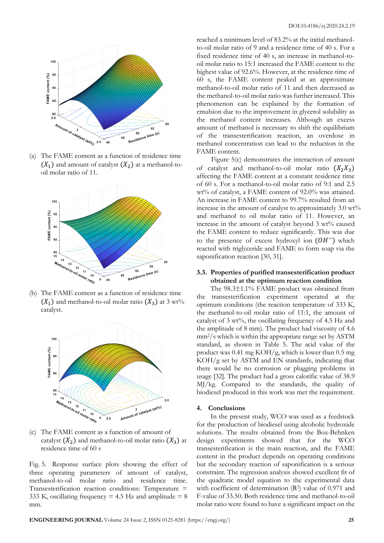

(a) The FAME content as a function of residence time  $(X_1)$  and amount of catalyst  $(X_2)$  at a methanol-tooil molar ratio of 11.



(b) The FAME content as a function of residence time  $(X_1)$  and methanol-to-oil molar ratio  $(X_2)$  at 3 wt% catalyst.



(c) The FAME content as a function of amount of catalyst  $(X_2)$  and methanol-to-oil molar ratio  $(X_3)$  at residence time of 60 s

Fig. 5. Response surface plots showing the effect of three operating parameters of amount of catalyst, methanol-to-oil molar ratio and residence time. Transesterification reaction conditions: Temperature = 333 K, oscillating frequency = 4.5 Hz and amplitude =  $8$ mm.

reached a minimum level of 83.2% at the initial methanolto-oil molar ratio of 9 and a residence time of 40 s. For a fixed residence time of 40 s, an increase in methanol-tooil molar ratio to 15:1 increased the FAME content to the highest value of 92.6%. However, at the residence time of 60 s, the FAME content peaked at an approximate methanol-to-oil molar ratio of 11 and then decreased as the methanol-to-oil molar ratio was further increased. This phenomenon can be explained by the formation of emulsion due to the improvement in glycerol solubility as the methanol content increases. Although an excess amount of methanol is necessary to shift the equilibrium of the transesterification reaction, an overdose in methanol concentration can lead to the reduction in the FAME content.

Figure 5(c) demonstrates the interaction of amount of catalyst and methanol-to-oil molar ratio  $(X_2X_3)$ affecting the FAME content at a constant residence time of 60 s. For a methanol-to-oil molar ratio of 9:1 and 2.5 wt% of catalyst, a FAME content of 92.0% was attained. An increase in FAME content to 99.7% resulted from an increase in the amount of catalyst to approximately 3.0 wt% and methanol to oil molar ratio of 11. However, an increase in the amount of catalyst beyond 3 wt% caused the FAME content to reduce significantly. This was due to the presence of excess hydroxyl ion  $(OH^-)$  which reacted with triglyceride and FAME to form soap via the saponification reaction [30, 31].

## **3.3. Properties of purified transesterification product obtained at the optimum reaction condition**

The 98.3±1.1% FAME product was obtained from the transesterification experiment operated at the optimum conditions (the reaction temperature of 333 K, the methanol-to-oil molar ratio of 11:1, the amount of catalyst of 3 wt%, the oscillating frequency of 4.5 Hz and the amplitude of 8 mm). The product had viscosity of 4.6 mm2/s which is within the appropriate range set by ASTM standard, as shown in Table 5. The acid value of the product was 0.41 mg KOH/g, which is lower than 0.5 mg KOH/g set by ASTM and EN standards, indicating that there would be no corrosion or plugging problems in usage [32]. The product had a gross calorific value of 38.9 MJ/kg. Compared to the standards, the quality of biodiesel produced in this work was met the requirement.

#### **4. Conclusions**

In the present study, WCO was used as a feedstock for the production of biodiesel using alcoholic hydroxide solutions. The results obtained from the Box-Behnken design experiments showed that for the WCO transesterification is the main reaction, and the FAME content in the product depends on operating conditions but the secondary reaction of saponification is a serious constraint. The regression analysis showed excellent fit of the quadratic model equation to the experimental data with coefficient of determination (R<sup>2</sup>) value of 0.971 and F-value of 33.50. Both residence time and methanol-to-oil molar ratio were found to have a significant impact on the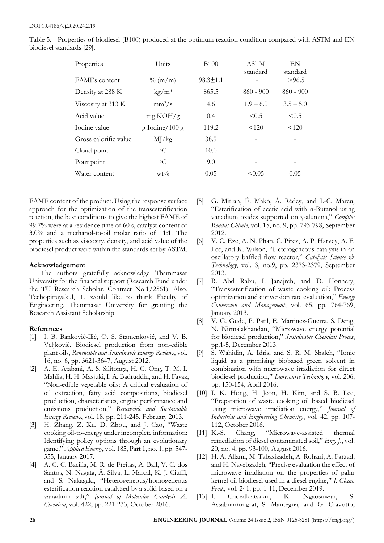| Properties            | Units                  | <b>B</b> 100   | ASTM<br>standard | EN<br>standard |
|-----------------------|------------------------|----------------|------------------|----------------|
| <b>FAMEs</b> content  | $\%$ (m/m)             | $98.3 \pm 1.1$ |                  | >96.5          |
| Density at 288 K      | $\text{kg}/\text{m}^3$ | 865.5          | $860 - 900$      | $860 - 900$    |
| Viscosity at 313 K    | $mm^2/s$               | 4.6            | $1.9 - 6.0$      | $3.5 - 5.0$    |
| Acid value            | mg KOH/g               | 0.4            | < 0.5            | < 0.5          |
| Iodine value          | $g$ Iodine/100 $g$     | 119.2          | < 120            | < 120          |
| Gross calorific value | MJ/kg                  | 38.9           |                  |                |
| Cloud point           | $\circ$ C              | 10.0           |                  |                |
| Pour point            | $\circ$ C              | 9.0            |                  |                |
| Water content         | $wt\%$                 | 0.05           | < 0.05           | 0.05           |

Table 5. Properties of biodiesel (B100) produced at the optimum reaction condition compared with ASTM and EN biodiesel standards [29].

FAME content of the product. Using the response surface approach for the optimization of the transesterification reaction, the best conditions to give the highest FAME of 99.7% were at a residence time of 60 s, catalyst content of 3.0% and a methanol-to-oil molar ratio of 11:1. The properties such as viscosity, density, and acid value of the biodiesel product were within the standards set by ASTM.

## **Acknowledgement**

The authors gratefully acknowledge Thammasat University for the financial support (Research Fund under the TU Research Scholar, Contract No.1/2561). Also, Techopittayakul, T. would like to thank Faculty of Engineering, Thammasat University for granting the Research Assistant Scholarship.

## **References**

- [1] I. B. Banković-Ilić, O. S. Stamenković, and V. B. Veljković, Biodiesel production from non-edible plant oils, *Renewable and Sustainable Energy Reviews*, vol. 16, no. 6, pp. 3621-3647, August 2012.
- [2] A. E. Atabani, A. S. Silitonga, H. C. Ong, T. M. I. Mahlia, H. H. Masjuki, I. A. Badruddin, and H. Fayaz, "Non-edible vegetable oils: A critical evaluation of oil extraction, fatty acid compositions, biodiesel production, characteristics, engine performance and emissions production," *Renewable and Sustainable Energy Reviews*, vol. 18, pp. 211-245, February 2013.
- [3] H. Zhang, Z. Xu, D. Zhou, and J. Cao, "Waste cooking oil-to-energy under incomplete information: Identifying policy options through an evolutionary game," *Applied Energy*, vol. 185, Part 1, no. 1, pp. 547- 555, January 2017.
- [4] A. C. C. Bacilla, M. R. de Freitas, A. Bail, V. C. dos Santos, N. Nagata, Â. Silva, L. Marçal, K. J. Ciuffi, and S. Nakagaki, "Heterogeneous/homogeneous esterification reaction catalyzed by a solid based on a vanadium salt," *Journal of Molecular Catalysis A: Chemical*, vol. 422, pp. 221-233, October 2016.
- [5] G. Mitran, É. Makó, Á. Rédey, and I.-C. Marcu, "Esterification of acetic acid with n-Butanol using vanadium oxides supported on γ-alumina," *Comptes Rendus Chimie*, vol. 15, no. 9, pp. 793-798, September 2012.
- [6] V. C. Eze, A. N. Phan, C. Pirez, A. P. Harvey, A. F. Lee, and K. Wilson, "Heterogeneous catalysis in an oscillatory baffled flow reactor," *Catalysis Science & Technology*, vol. 3, no.9, pp. 2373-2379, September 2013.
- [7] R. Abd Rabu, I. Janajreh, and D. Honnery, "Transesterification of waste cooking oil: Process optimization and conversion rate evaluation," *Energy Conversion and Management*, vol. 65, pp. 764-769, January 2013.
- [8] V. G. Gude, P. Patil, E. Martinez-Guerra, S. Deng, N. Nirmalakhandan, "Microwave energy potential for biodiesel production," *Sustainable Chemical Proces*, pp.1-5, December 2013.
- [9] S. Wahidin, A. Idris, and S. R. M. Shaleh, "Ionic liquid as a promising biobased green solvent in combination with microwave irradiation for direct biodiesel production," *Bioresource Technology*, vol. 206, pp. 150-154, April 2016.
- [10] I. K. Hong, H. Jeon, H. Kim, and S. B. Lee, "Preparation of waste cooking oil based biodiesel using microwave irradiation energy," *Journal of Industrial and Engineering Chemistry*, vol. 42, pp. 107- 112, October 2016.
- [11] K.-S. Chang, "Microwave-assisted thermal remediation of diesel contaminated soil," *Eng. J.*, vol. 20, no. 4, pp. 93-100, August 2016.
- [12] H. A. Allami, M. Tabasizadeh, A. Rohani, A. Farzad, and H. Nayebzadeh, "Precise evaluation the effect of microwave irradiation on the properties of palm kernel oil biodiesel used in a diesel engine," *J. Clean. Prod.*, vol. 241, pp. 1-11, December 2019.
- [13] I. Choedkiatsakul, K. Ngaosuwan, S. Assabumrungrat, S. Mantegna, and G. Cravotto,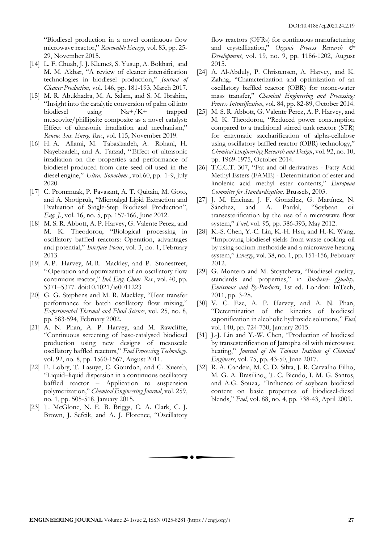"Biodiesel production in a novel continuous flow microwave reactor," *Renewable Energy*, vol. 83, pp. 25- 29, November 2015.

- [14] L. F. Chuah, J. J. Klemeš, S. Yusup, A. Bokhari, and M. M. Akbar, "A review of cleaner intensification technologies in biodiesel production," *Journal of Cleaner Production*, vol. 146, pp. 181-193, March 2017.
- [15] M. R. Abukhadra, M. A. Salam, and S. M. Ibrahim, "Insight into the catalytic conversion of palm oil into biodiesel using Na+/K+ trapped muscovite/phillipsite composite as a novel catalyst: Effect of ultrasonic irradiation and mechanism," *Renew. Sus. Energ*. *Rev.*, vol. 115, November 2019.
- [16] H. A. Allami, M. Tabasizadeh, A. Rohani, H. Nayebzadeh, and A. Farzad, "Effect of ultrasonic irradiation on the properties and performance of biodiesel produced from date seed oil used in the diesel engine," *Ultra. Sonochem*., vol.60, pp. 1-9, July 2020.
- [17] C. Prommuak, P. Pavasant, A. T. Quitain, M. Goto, and A. Shotipruk, "Microalgal Lipid Extraction and Evaluation of Single-Step Biodiesel Production", *Eng. J.*, vol. 16, no. 5, pp. 157-166, June 2012.
- [18] M. S. R. Abbott, A. P. Harvey, G. Valente Perez, and M. K. Theodorou, "Biological processing in oscillatory baffled reactors: Operation, advantages and potential," *Interface Focus*, vol. 3, no. 1, February 2013.
- [19] A. P. Harvey, M. R. Mackley, and P. Stonestreet, "Operation and optimization of an oscillatory flow continuous reactor," *Ind. Eng. Chem. Res.*, vol. 40, pp. 5371–5377. doi:10.1021/ie0011223
- [20] G. G. Stephens and M. R. Mackley, "Heat transfer performance for batch oscillatory flow mixing," *Experimental Thermal and Fluid Science*, vol. 25, no. 8, pp. 583-594, February 2002.
- [21] A. N. Phan, A. P. Harvey, and M. Rawcliffe, "Continuous screening of base-catalysed biodiesel production using new designs of mesoscale oscillatory baffled reactors," *Fuel Processing Technology*, vol. 92, no. 8, pp. 1560-1567, August 2011.
- [22] E. Lobry, T. Lasuye, C. Gourdon, and C. Xuereb, "Liquid–liquid dispersion in a continuous oscillatory baffled reactor – Application to suspension polymerization," *Chemical Engineering Journal*, vol. 259, no. 1, pp. 505-518, January 2015.
- [23] T. McGlone, N. E. B. Briggs, C. A. Clark, C. J. Brown, J. Sefcik, and A. J. Florence, "Oscillatory

flow reactors (OFRs) for continuous manufacturing and crystallization," *Organic Process Research & Development*, vol. 19, no. 9, pp. 1186-1202, August 2015.

- [24] A. Al-Abduly, P. Christensen, A. Harvey, and K. Zahng, "Characterization and optimization of an oscillatory baffled reactor (OBR) for ozone-water mass transfer," *Chemical Engineering and Processing: Process Intensification*, vol. 84, pp. 82-89, October 2014.
- [25] M. S. R. Abbott, G. Valente Perez, A. P. Harvey, and M. K. Theodorou, "Reduced power consumption compared to a traditional stirred tank reactor (STR) for enzymatic saccharification of alpha-cellulose using oscillatory baffled reactor (OBR) technology," *Chemical Engineering Research and Design*, vol. 92, no. 10, pp. 1969-1975, October 2014.
- [26] T.C.C.T. 307, "Fat and oil derivatives Fatty Acid Methyl Esters (FAME) - Determination of ester and linolenic acid methyl ester contents," *European Commitee for Standardization*. Brussels, 2003.
- [27] J. M. Encinar, J. F. González, G. Martínez, N. Sánchez, and A. Pardal, "Soybean oil transesterification by the use of a microwave flow system," *Fuel*, vol. 95, pp. 386-393, May 2012.
- [28] K.-S. Chen, Y.-C. Lin, K.-H. Hsu, and H.-K. Wang, "Improving biodiesel yields from waste cooking oil by using sodium methoxide and a microwave heating system," *Energy*, vol. 38, no. 1, pp. 151-156, February 2012.
- [29] G. Montero and M. Stoytcheva, "Biodiesel quality, standards and properties," in *Biodiesel- Quality, Emissions and By-Products*, 1st ed. London: InTech, 2011, pp. 3-28.
- [30] V. C. Eze, A. P. Harvey, and A. N. Phan, "Determination of the kinetics of biodiesel saponification in alcoholic hydroxide solutions," *Fuel*, vol. 140, pp. 724-730, January 2015.
- [31] J.-J. Lin and Y.-W. Chen, "Production of biodiesel by transesterification of Jatropha oil with microwave heating," *Journal of the Taiwan Institute of Chemical Engineers*, vol. 75, pp. 43-50, June 2017.
- [32] R. A. Candeia, M. C. D. Silva, J. R. Carvalho Filho, M. G. A. Brasilino,, T. C. Bicudo, I. M. G. Santos, and A.G. Souza,. "Influence of soybean biodiesel content on basic properties of biodiesel-diesel blends," *Fuel*, vol. 88, no. 4, pp. 738-43, April 2009.

. . .